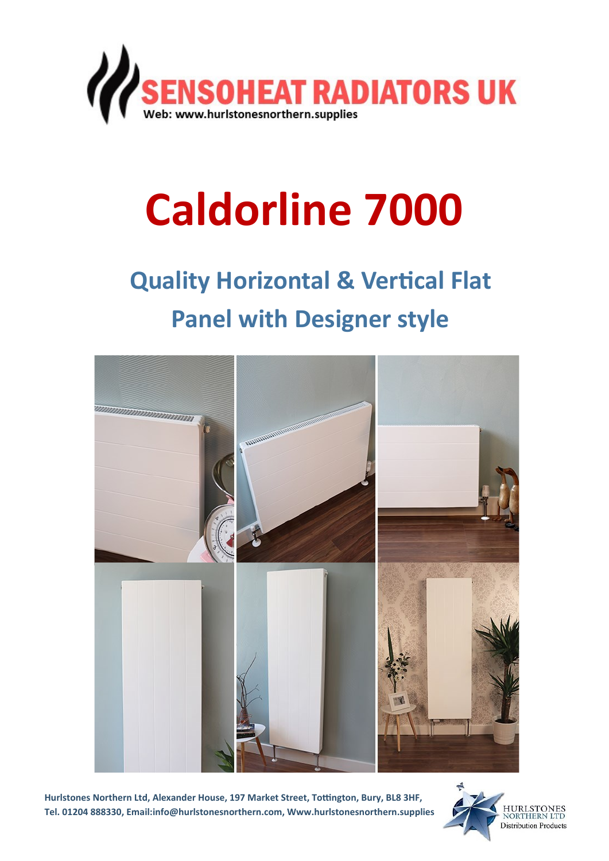

# **Caldorline 7000**

# **Quality Horizontal & Vertical Flat Panel with Designer style**



**Hurlstones Northern Ltd, Alexander House, 197 Market Street, Tottington, Bury, BL8 3HF, Tel. 01204 888330, Email:info@hurlstonesnorthern.com, Www.hurlstonesnorthern.supplies**

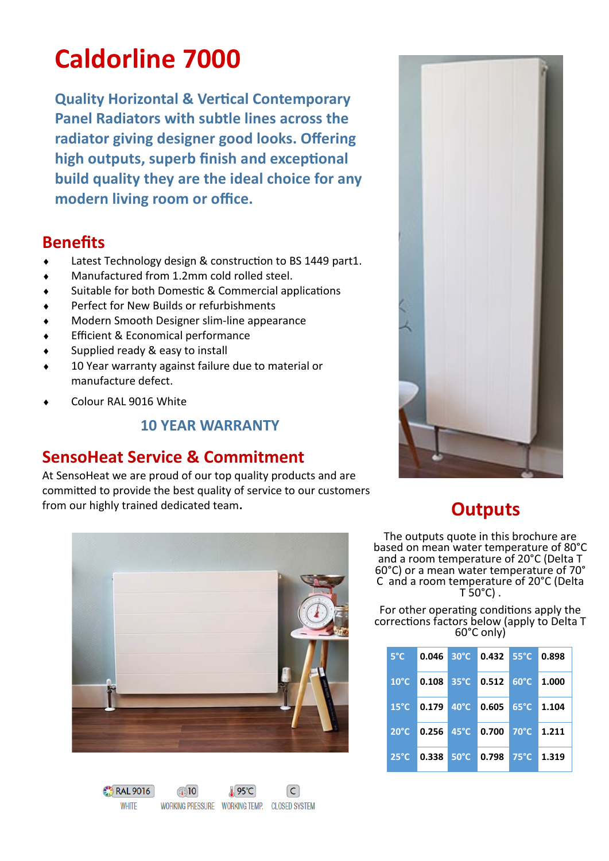## **Caldorline 7000**

**Quality Horizontal & Vertical Contemporary Panel Radiators with subtle lines across the radiator giving designer good looks. Offering high outputs, superb finish and exceptional build quality they are the ideal choice for any modern living room or office.**

#### **Benefits**

- Latest Technology design & construction to BS 1449 part1.
- Manufactured from 1.2mm cold rolled steel.
- Suitable for both Domestic & Commercial applications
- Perfect for New Builds or refurbishments
- Modern Smooth Designer slim-line appearance
- Efficient & Economical performance
- Supplied ready & easy to install
- 10 Year warranty against failure due to material or manufacture defect.
- Colour RAL 9016 White

#### **10 YEAR WARRANTY**

### **SensoHeat Service & Commitment**

At SensoHeat we are proud of our top quality products and are committed to provide the best quality of service to our customers from our highly trained dedicated team**.**



## **Outputs**

The outputs quote in this brochure are based on mean water temperature of 80°C and a room temperature of 20°C (Delta T 60°C) or a mean water temperature of 70° C and a room temperature of 20°C (Delta  $T$  50 $^{\circ}$ C).

For other operating conditions apply the corrections factors below (apply to Delta T 60°C only)

| $5^{\circ}$ C  |                                                                |                | $0.046$ 30°C 0.432 55°C    |                | 0.898 |
|----------------|----------------------------------------------------------------|----------------|----------------------------|----------------|-------|
|                |                                                                |                | 10°C 0.108 35°C 0.512 60°C |                | 1.000 |
|                |                                                                |                | 15°C 0.179 40°C 0.605 65°C |                | 1.104 |
| $20^{\circ}$ C | $\blacksquare$ 0.256 $\blacksquare$ 45 °C $\blacksquare$ 0.700 |                |                            | $70^{\circ}$ C | 1.211 |
| $25^{\circ}$ C | 0.338                                                          | $50^{\circ}$ C | 0.798                      | $75^{\circ}$ C | 1.319 |



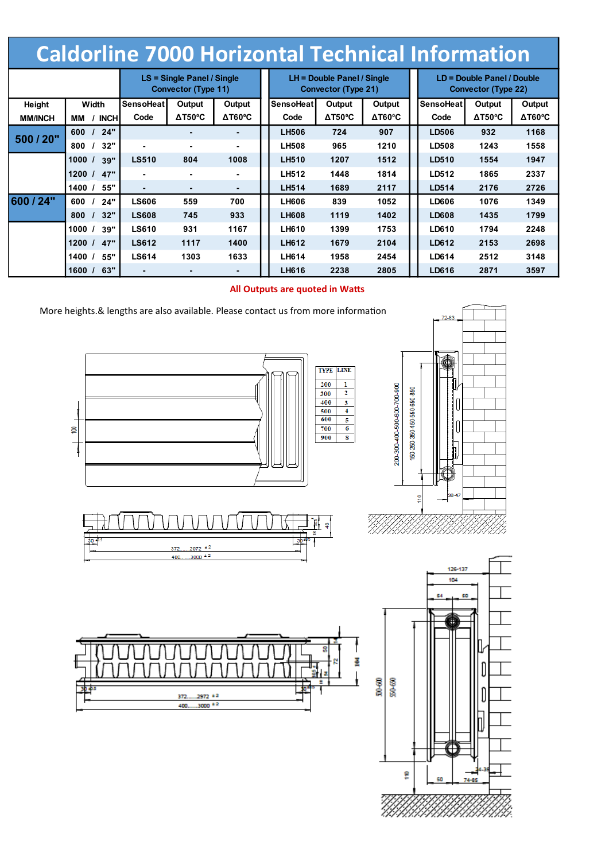## **Caldorline 7000 Horizontal Technical Information**

|                |        |             | LS = Single Panel / Single<br>Convector (Type 11) |                  |                                     | $LH =$ Double Panel / Single<br>Convector (Type 21) |                |                       | LD = Double Panel / Double<br>Convector (Type 22) |                |                        |
|----------------|--------|-------------|---------------------------------------------------|------------------|-------------------------------------|-----------------------------------------------------|----------------|-----------------------|---------------------------------------------------|----------------|------------------------|
| Height         | Width  |             | SensoHeat                                         | Output<br>Output |                                     | SensoHeat                                           | Output         | Output                | <b>SensoHeat</b>                                  | Output         | Output                 |
| <b>MM/INCH</b> | ΜМ     | <b>INCH</b> | Code                                              | $\Delta$ T50°C   | $\Delta \text{T60}^{\circ}\text{C}$ | Code                                                | $\Delta$ T50°C | $\Delta \text{T60°C}$ | Code                                              | $\Delta$ T50°C | $\Delta T60^{\circ}$ C |
| 500 / 20"      | 600    | 24"         |                                                   | ۰.               | $\blacksquare$                      | <b>LH506</b>                                        | 724            | 907                   | <b>LD506</b>                                      | 932            | 1168                   |
|                | 800    | 32"         | ۰                                                 |                  | ۰                                   | <b>LH508</b>                                        | 965            | 1210                  | <b>LD508</b>                                      | 1243           | 1558                   |
|                | 1000 / | 39"         | <b>LS510</b>                                      | 804              | 1008                                | <b>LH510</b>                                        | 1207           | 1512                  | LD510                                             | 1554           | 1947                   |
|                | 1200 / | 47"         | ٠                                                 |                  | ۰.                                  | <b>LH512</b>                                        | 1448           | 1814                  | LD512                                             | 1865           | 2337                   |
|                | 1400/  | 55"         | ٠.                                                |                  |                                     | <b>LH514</b>                                        | 1689           | 2117                  | LD514                                             | 2176           | 2726                   |
| 600 / 24"      | 600    | 24"         | <b>LS606</b>                                      | 559              | 700                                 | <b>LH606</b>                                        | 839            | 1052                  | LD606                                             | 1076           | 1349                   |
|                | 800    | 32"         | <b>LS608</b>                                      | 745              | 933                                 | <b>LH608</b>                                        | 1119           | 1402                  | <b>LD608</b>                                      | 1435           | 1799                   |
|                | 1000/  | 39"         | <b>LS610</b>                                      | 931              | 1167                                | <b>LH610</b>                                        | 1399           | 1753                  | <b>LD610</b>                                      | 1794           | 2248                   |
|                | 1200/  | 47"         | <b>LS612</b>                                      | 1117             | 1400                                | <b>LH612</b>                                        | 1679           | 2104                  | LD612                                             | 2153           | 2698                   |
|                | 1400/  | 55"         | <b>LS614</b>                                      | 1303             | 1633                                | <b>LH614</b>                                        | 1958           | 2454                  | LD614                                             | 2512           | 3148                   |
|                | 1600 / | 63"         | ٠.                                                |                  | -                                   | LH616                                               | 2238           | 2805                  | LD616                                             | 2871           | 3597                   |

#### **All Outputs are quoted in Watts**





g

7)<br>|}